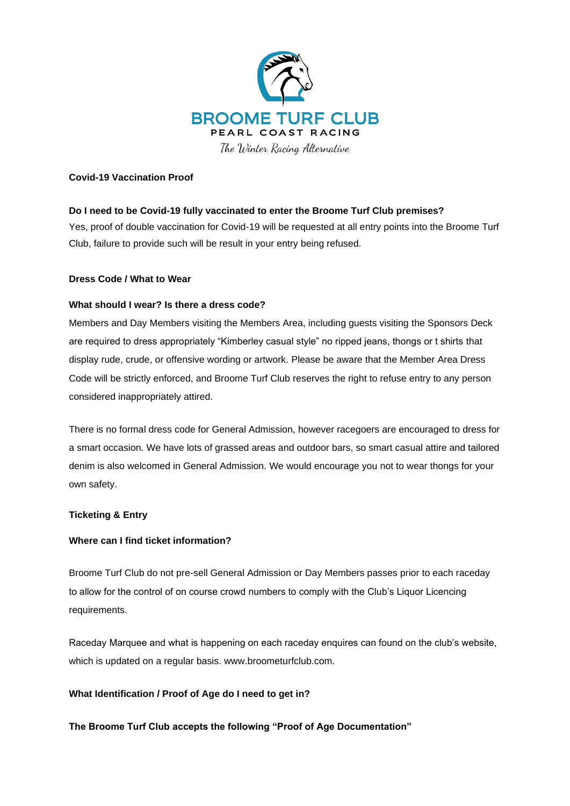

#### **Covid-19 Vaccination Proof**

# **Do I need to be Covid-19 fully vaccinated to enter the Broome Turf Club premises?**

Yes, proof of double vaccination for Covid-19 will be requested at all entry points into the Broome Turf Club, failure to provide such will be result in your entry being refused.

#### **Dress Code / What to Wear**

#### **What should I wear? Is there a dress code?**

Members and Day Members visiting the Members Area, including guests visiting the Sponsors Deck are required to dress appropriately "Kimberley casual style" no ripped jeans, thongs or t shirts that display rude, crude, or offensive wording or artwork. Please be aware that the Member Area Dress Code will be strictly enforced, and Broome Turf Club reserves the right to refuse entry to any person considered inappropriately attired.

There is no formal dress code for General Admission, however racegoers are encouraged to dress for a smart occasion. We have lots of grassed areas and outdoor bars, so smart casual attire and tailored denim is also welcomed in General Admission. We would encourage you not to wear thongs for your own safety.

# **Ticketing & Entry**

# **Where can I find ticket information?**

Broome Turf Club do not pre-sell General Admission or Day Members passes prior to each raceday to allow for the control of on course crowd numbers to comply with the Club's Liquor Licencing requirements.

Raceday Marquee and what is happening on each raceday enquires can found on the club's website, which is updated on a regular basis. www.broometurfclub.com.

# **What Identification / Proof of Age do I need to get in?**

**The Broome Turf Club accepts the following "Proof of Age Documentation"**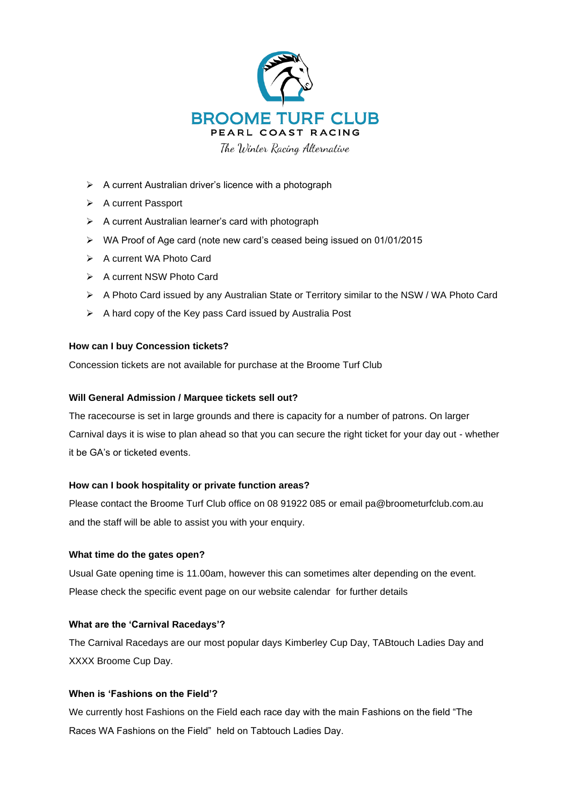

The Winter Racing Alternative

- ➢ A current Australian driver's licence with a photograph
- ➢ A current Passport
- ➢ A current Australian learner's card with photograph
- ➢ WA Proof of Age card (note new card's ceased being issued on 01/01/2015
- ➢ A current WA Photo Card
- ➢ A current NSW Photo Card
- ➢ A Photo Card issued by any Australian State or Territory similar to the NSW / WA Photo Card
- ➢ A hard copy of the Key pass Card issued by Australia Post

#### **How can I buy Concession tickets?**

Concession tickets are not available for purchase at the Broome Turf Club

#### **Will General Admission / Marquee tickets sell out?**

The racecourse is set in large grounds and there is capacity for a number of patrons. On larger Carnival days it is wise to plan ahead so that you can secure the right ticket for your day out - whether it be GA's or ticketed events.

#### **How can I book hospitality or private function areas?**

Please contact the Broome Turf Club office on 08 91922 085 or email pa@broometurfclub.com.au and the staff will be able to assist you with your enquiry.

#### **What time do the gates open?**

Usual Gate opening time is 11.00am, however this can sometimes alter depending on the event. Please check the specific event page on our website calendar for further details

#### **What are the 'Carnival Racedays'?**

The Carnival Racedays are our most popular days Kimberley Cup Day, TABtouch Ladies Day and XXXX Broome Cup Day.

#### **When is 'Fashions on the Field'?**

We currently host Fashions on the Field each race day with the main Fashions on the field "The Races WA Fashions on the Field" held on Tabtouch Ladies Day.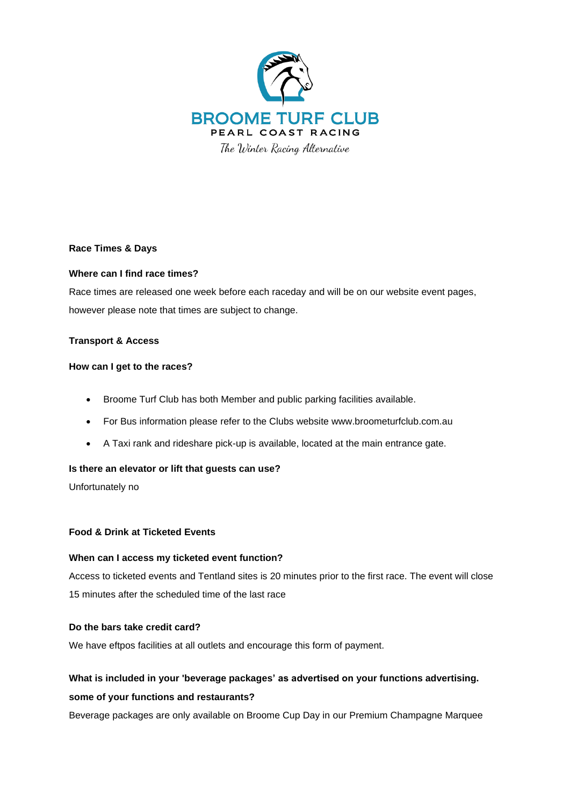

**Race Times & Days**

# **Where can I find race times?**

Race times are released one week before each raceday and will be on our website event pages, however please note that times are subject to change.

# **Transport & Access**

# **How can I get to the races?**

- Broome Turf Club has both Member and public parking facilities available.
- For Bus information please refer to the Clubs website www.broometurfclub.com.au
- A Taxi rank and rideshare pick-up is available, located at the main entrance gate.

# **Is there an elevator or lift that guests can use?**

Unfortunately no

# **Food & Drink at Ticketed Events**

# **When can I access my ticketed event function?**

Access to ticketed events and Tentland sites is 20 minutes prior to the first race. The event will close 15 minutes after the scheduled time of the last race

# **Do the bars take credit card?**

We have eftpos facilities at all outlets and encourage this form of payment.

# **What is included in your 'beverage packages' as advertised on your functions advertising. some of your functions and restaurants?**

Beverage packages are only available on Broome Cup Day in our Premium Champagne Marquee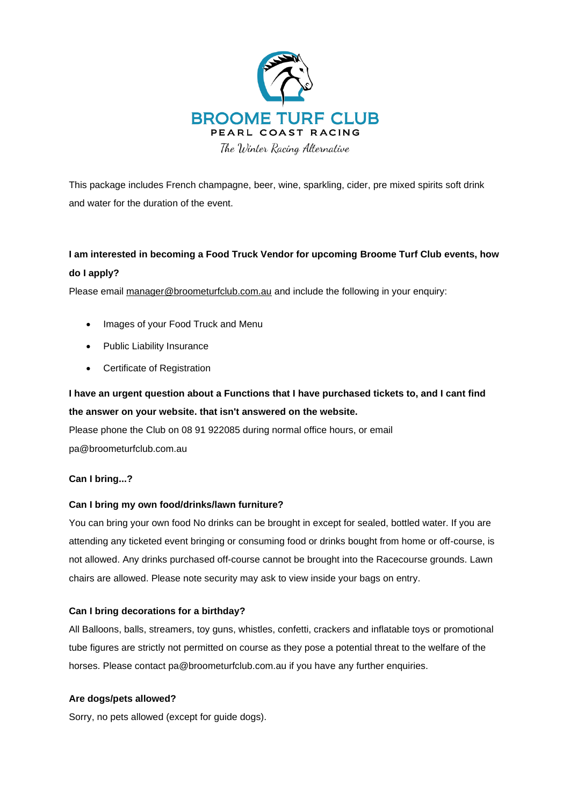

The Winter Racing Alternative

This package includes French champagne, beer, wine, sparkling, cider, pre mixed spirits soft drink and water for the duration of the event.

# **I am interested in becoming a Food Truck Vendor for upcoming Broome Turf Club events, how do I apply?**

Please email [manager@broometurfclub.com.au](mailto:manager@broometurfclub.com.au) and include the following in your enquiry:

- Images of your Food Truck and Menu
- Public Liability Insurance
- Certificate of Registration

# **I have an urgent question about a Functions that I have purchased tickets to, and I cant find the answer on your website. that isn't answered on the website.**

Please phone the Club on 08 91 922085 during normal office hours, or email pa@broometurfclub.com.au

# **Can I bring...?**

# **Can I bring my own food/drinks/lawn furniture?**

You can bring your own food No drinks can be brought in except for sealed, bottled water. If you are attending any ticketed event bringing or consuming food or drinks bought from home or off-course, is not allowed. Any drinks purchased off-course cannot be brought into the Racecourse grounds. Lawn chairs are allowed. Please note security may ask to view inside your bags on entry.

# **Can I bring decorations for a birthday?**

All Balloons, balls, streamers, toy guns, whistles, confetti, crackers and inflatable toys or promotional tube figures are strictly not permitted on course as they pose a potential threat to the welfare of the horses. Please contact pa@broometurfclub.com.au if you have any further enquiries.

# **Are dogs/pets allowed?**

Sorry, no pets allowed (except for guide dogs).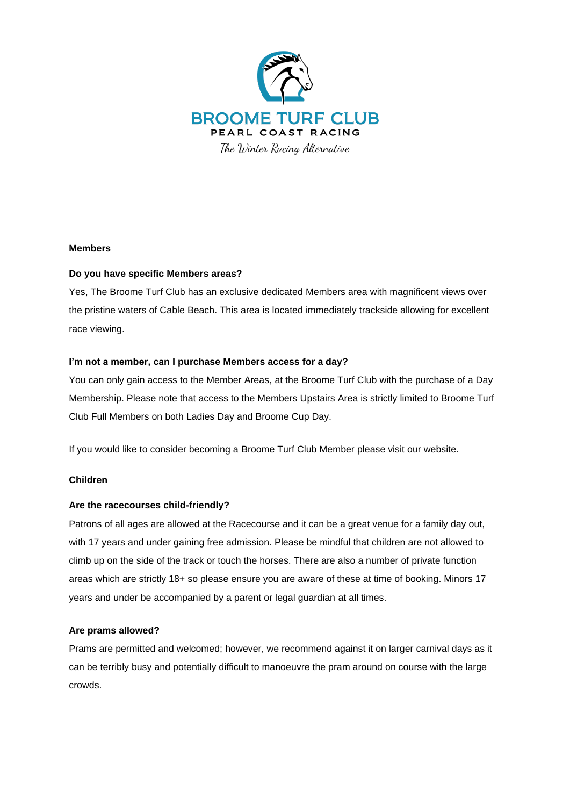

#### **Members**

# **Do you have specific Members areas?**

Yes, The Broome Turf Club has an exclusive dedicated Members area with magnificent views over the pristine waters of Cable Beach. This area is located immediately trackside allowing for excellent race viewing.

# **I'm not a member, can I purchase Members access for a day?**

You can only gain access to the Member Areas, at the Broome Turf Club with the purchase of a Day Membership. Please note that access to the Members Upstairs Area is strictly limited to Broome Turf Club Full Members on both Ladies Day and Broome Cup Day.

If you would like to consider becoming a Broome Turf Club Member please visit our website.

# **Children**

#### **Are the racecourses child-friendly?**

Patrons of all ages are allowed at the Racecourse and it can be a great venue for a family day out, with 17 years and under gaining free admission. Please be mindful that children are not allowed to climb up on the side of the track or touch the horses. There are also a number of private function areas which are strictly 18+ so please ensure you are aware of these at time of booking. Minors 17 years and under be accompanied by a parent or legal guardian at all times.

#### **Are prams allowed?**

Prams are permitted and welcomed; however, we recommend against it on larger carnival days as it can be terribly busy and potentially difficult to manoeuvre the pram around on course with the large crowds.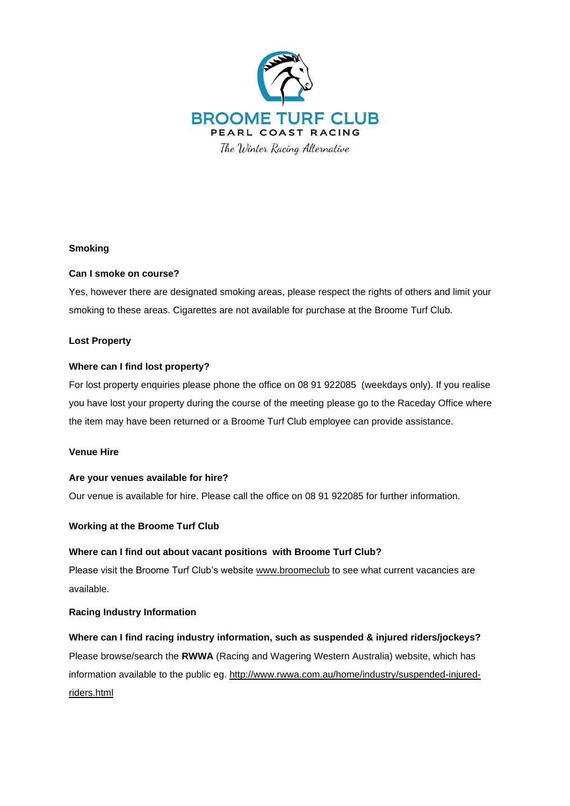

#### **Smoking**

#### **Can I smoke on course?**

Yes, however there are designated smoking areas, please respect the rights of others and limit your smoking to these areas. Cigarettes are not available for purchase at the Broome Turf Club.

#### **Lost Property**

#### **Where can I find lost property?**

For lost property enquiries please phone the office on 08 91 922085 (weekdays only). If you realise you have lost your property during the course of the meeting please go to the Raceday Office where the item may have been returned or a Broome Turf Club employee can provide assistance.

#### **Venue Hire**

#### **Are your venues available for hire?**

Our venue is available for hire. Please call the office on 08 91 922085 for further information.

# **Working at the Broome Turf Club**

#### **Where can I find out about vacant positions with Broome Turf Club?**

Please visit the Broome Turf Club's website [www.broomeclub](http://www.broomeclub/) to see what current vacancies are available.

#### **Racing Industry Information**

**Where can I find racing industry information, such as suspended & injured riders/jockeys?** Please browse/search the **RWWA** (Racing and Wagering Western Australia) website, which has information available to the public eg. [http://www.rwwa.com.au/home/industry/suspended-injured](http://www.rwwa.com.au/home/industry/suspended-injured-riders.html)[riders.html](http://www.rwwa.com.au/home/industry/suspended-injured-riders.html)